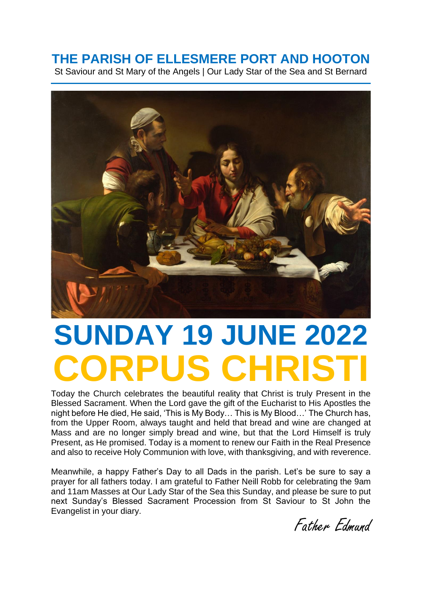## **THE PARISH OF ELLESMERE PORT AND HOOTON**

St Saviour and St Mary of the Angels | Our Lady Star of the Sea and St Bernard



# **SUNDAY 19 JUNE 2022 CORPUS CHRIST**

Today the Church celebrates the beautiful reality that Christ is truly Present in the Blessed Sacrament. When the Lord gave the gift of the Eucharist to His Apostles the night before He died, He said, 'This is My Body… This is My Blood…' The Church has, from the Upper Room, always taught and held that bread and wine are changed at Mass and are no longer simply bread and wine, but that the Lord Himself is truly Present, as He promised. Today is a moment to renew our Faith in the Real Presence and also to receive Holy Communion with love, with thanksgiving, and with reverence.

Meanwhile, a happy Father's Day to all Dads in the parish. Let's be sure to say a prayer for all fathers today. I am grateful to Father Neill Robb for celebrating the 9am and 11am Masses at Our Lady Star of the Sea this Sunday, and please be sure to put next Sunday's Blessed Sacrament Procession from St Saviour to St John the Evangelist in your diary.

Father Edmund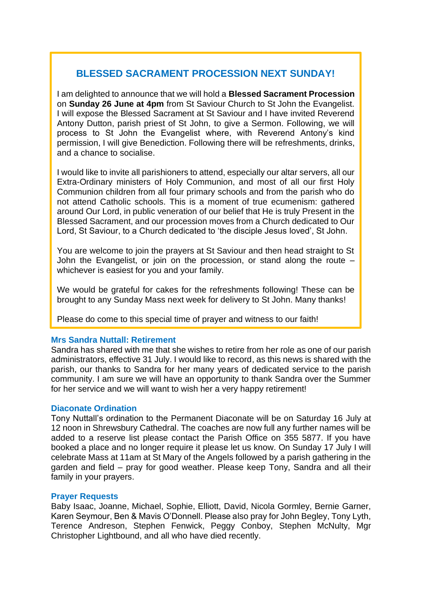### **BLESSED SACRAMENT PROCESSION NEXT SUNDAY!**

I am delighted to announce that we will hold a **Blessed Sacrament Procession** on **Sunday 26 June at 4pm** from St Saviour Church to St John the Evangelist. I will expose the Blessed Sacrament at St Saviour and I have invited Reverend Antony Dutton, parish priest of St John, to give a Sermon. Following, we will process to St John the Evangelist where, with Reverend Antony's kind permission, I will give Benediction. Following there will be refreshments, drinks, and a chance to socialise.

I would like to invite all parishioners to attend, especially our altar servers, all our Extra-Ordinary ministers of Holy Communion, and most of all our first Holy Communion children from all four primary schools and from the parish who do not attend Catholic schools. This is a moment of true ecumenism: gathered around Our Lord, in public veneration of our belief that He is truly Present in the Blessed Sacrament, and our procession moves from a Church dedicated to Our Lord, St Saviour, to a Church dedicated to 'the disciple Jesus loved', St John.

You are welcome to join the prayers at St Saviour and then head straight to St John the Evangelist, or join on the procession, or stand along the route – whichever is easiest for you and your family.

We would be grateful for cakes for the refreshments following! These can be brought to any Sunday Mass next week for delivery to St John. Many thanks!

Please do come to this special time of prayer and witness to our faith!

#### **Mrs Sandra Nuttall: Retirement**

Sandra has shared with me that she wishes to retire from her role as one of our parish administrators, effective 31 July. I would like to record, as this news is shared with the parish, our thanks to Sandra for her many years of dedicated service to the parish community. I am sure we will have an opportunity to thank Sandra over the Summer for her service and we will want to wish her a very happy retirement!

#### **Diaconate Ordination**

Tony Nuttall's ordination to the Permanent Diaconate will be on Saturday 16 July at 12 noon in Shrewsbury Cathedral. The coaches are now full any further names will be added to a reserve list please contact the Parish Office on 355 5877. If you have booked a place and no longer require it please let us know. On Sunday 17 July I will celebrate Mass at 11am at St Mary of the Angels followed by a parish gathering in the garden and field – pray for good weather. Please keep Tony, Sandra and all their family in your prayers.

#### **Prayer Requests**

Baby Isaac, Joanne, Michael, Sophie, Elliott, David, Nicola Gormley, Bernie Garner, Karen Seymour, Ben & Mavis O'Donnell. Please also pray for John Begley, Tony Lyth, Terence Andreson, Stephen Fenwick, Peggy Conboy, Stephen McNulty, Mgr Christopher Lightbound, and all who have died recently.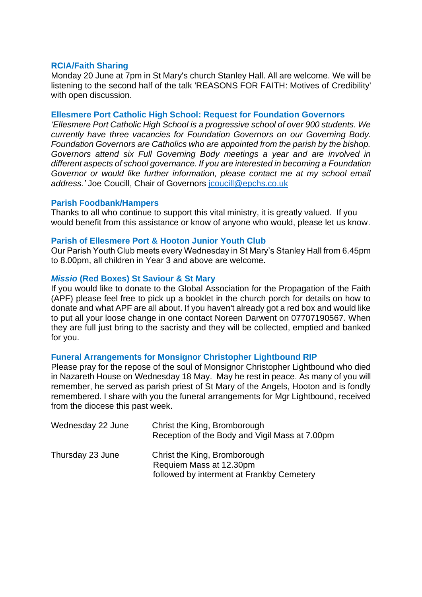#### **RCIA/Faith Sharing**

Monday 20 June at 7pm in St Mary's church Stanley Hall. All are welcome. We will be listening to the second half of the talk 'REASONS FOR FAITH: Motives of Credibility' with open discussion.

#### **Ellesmere Port Catholic High School: Request for Foundation Governors**

*'Ellesmere Port Catholic High School is a progressive school of over 900 students. We currently have three vacancies for Foundation Governors on our Governing Body. Foundation Governors are Catholics who are appointed from the parish by the bishop. Governors attend six Full Governing Body meetings a year and are involved in different aspects of school governance. If you are interested in becoming a Foundation Governor or would like further information, please contact me at my school email address.'* Joe Coucill, Chair of Governors [jcoucill@epchs.co.uk](mailto:jcoucill@epchs.co.uk)

#### **Parish Foodbank/Hampers**

Thanks to all who continue to support this vital ministry, it is greatly valued. If you would benefit from this assistance or know of anyone who would, please let us know.

#### **Parish of Ellesmere Port & Hooton Junior Youth Club**

Our Parish Youth Club meets every Wednesday in St Mary's Stanley Hall from 6.45pm to 8.00pm, all children in Year 3 and above are welcome.

#### *Missio* **(Red Boxes) St Saviour & St Mary**

If you would like to donate to the Global Association for the Propagation of the Faith (APF) please feel free to pick up a booklet in the church porch for details on how to donate and what APF are all about. If you haven't already got a red box and would like to put all your loose change in one contact Noreen Darwent on 07707190567. When they are full just bring to the sacristy and they will be collected, emptied and banked for you.

#### **Funeral Arrangements for Monsignor Christopher Lightbound RIP**

Please pray for the repose of the soul of Monsignor Christopher Lightbound who died in Nazareth House on Wednesday 18 May. May he rest in peace. As many of you will remember, he served as parish priest of St Mary of the Angels, Hooton and is fondly remembered. I share with you the funeral arrangements for Mgr Lightbound, received from the diocese this past week.

| Wednesday 22 June | Christ the King, Bromborough<br>Reception of the Body and Vigil Mass at 7.00pm                       |
|-------------------|------------------------------------------------------------------------------------------------------|
| Thursday 23 June  | Christ the King, Bromborough<br>Requiem Mass at 12.30pm<br>followed by interment at Frankby Cemetery |